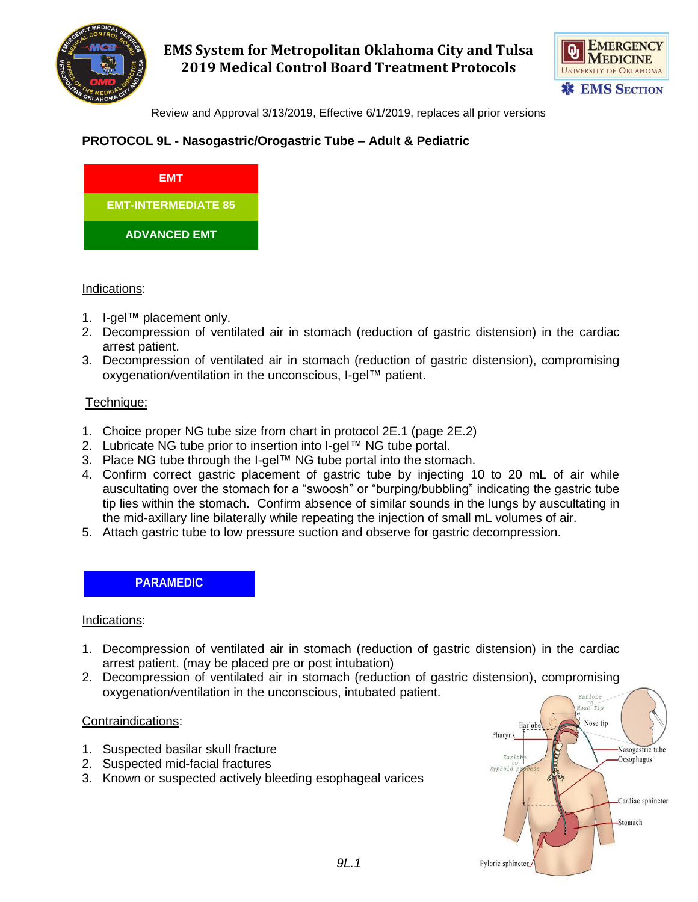

# **EMS System for Metropolitan Oklahoma City and Tulsa 2019 Medical Control Board Treatment Protocols**



Review and Approval 3/13/2019, Effective 6/1/2019, replaces all prior versions

## **PROTOCOL 9L - Nasogastric/Orogastric Tube – Adult & Pediatric**



#### Indications:

- 1. I-gel™ placement only.
- 2. Decompression of ventilated air in stomach (reduction of gastric distension) in the cardiac arrest patient.
- 3. Decompression of ventilated air in stomach (reduction of gastric distension), compromising oxygenation/ventilation in the unconscious, I-gel™ patient.

### Technique:

- 1. Choice proper NG tube size from chart in protocol 2E.1 (page 2E.2)
- 2. Lubricate NG tube prior to insertion into I-gel™ NG tube portal.
- 3. Place NG tube through the I-gel™ NG tube portal into the stomach.
- 4. Confirm correct gastric placement of gastric tube by injecting 10 to 20 mL of air while auscultating over the stomach for a "swoosh" or "burping/bubbling" indicating the gastric tube tip lies within the stomach. Confirm absence of similar sounds in the lungs by auscultating in the mid-axillary line bilaterally while repeating the injection of small mL volumes of air.
- 5. Attach gastric tube to low pressure suction and observe for gastric decompression.

## **PARAMEDIC**

#### Indications:

- 1. Decompression of ventilated air in stomach (reduction of gastric distension) in the cardiac arrest patient. (may be placed pre or post intubation)
- 2. Decompression of ventilated air in stomach (reduction of gastric distension), compromising oxygenation/ventilation in the unconscious, intubated patient. **Rarlobe**

#### Contraindications:

- 1. Suspected basilar skull fracture
- 2. Suspected mid-facial fractures
- 3. Known or suspected actively bleeding esophageal varices